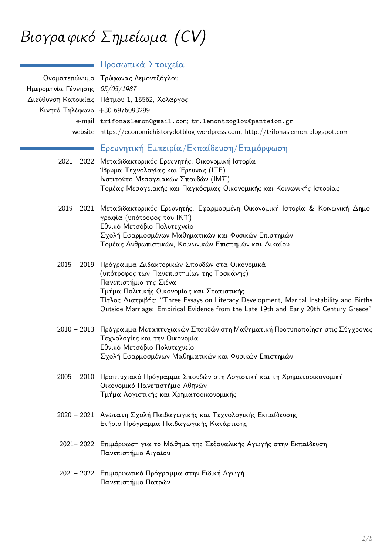|                                | Προσωπικά Στοιχεία                                                                                                                                                                                                                                                                                                                                                   |
|--------------------------------|----------------------------------------------------------------------------------------------------------------------------------------------------------------------------------------------------------------------------------------------------------------------------------------------------------------------------------------------------------------------|
| Ημερομηνία Γέννησης 05/05/1987 | Ονοματεπώνυμο Τρύφωνας Λεμοντζόγλου<br>Διεύθυνση Κατοικίας Πάτμου 1, 15562, Χολαργός                                                                                                                                                                                                                                                                                 |
| Κινητό Τηλέφωνο +30 6976093299 |                                                                                                                                                                                                                                                                                                                                                                      |
|                                | e-mail trifonaslemon@gmail.com; tr.lemontzoglou@panteion.gr                                                                                                                                                                                                                                                                                                          |
|                                | website https://economichistorydotblog.wordpress.com; http://trifonaslemon.blogspot.com                                                                                                                                                                                                                                                                              |
|                                | Ερευνητική Εμπειρία/Εκπαίδευση/Επιμόρφωση                                                                                                                                                                                                                                                                                                                            |
|                                | 2021 - 2022 Μεταδιδακτορικός Ερευνητής, Οικονομική Ιστορία<br>Ίδρυμα Τεχνολογίας και Έρευνας (ΙΤΕ)<br>Ινστιτούτο Μεσογειακών Σπουδών (ΙΜΣ)<br>Τομέας Μεσογειακής και Παγκόσμιας Οικονομικής και Κοινωνικής Ιστορίας                                                                                                                                                  |
|                                | 2019 - 2021 Μεταδιδακτορικός Ερευνητής, Εφαρμοσμένη Οικονομική Ιστορία & Κοινωνική Δημο-<br>γραφία (υπότροφος του ΙΚΥ)<br>Εθνικό Μετσόβιο Πολυτεχνείο<br>Σχολή Εφαρμοσμένων Μαθηματικών και Φυσικών Επιστημών<br>Τομέας Ανθρωπιστικών, Κοινωνικών Επιστημών και Δικαίου                                                                                              |
|                                | 2015 - 2019 Πρόγραμμα Διδακτορικών Σπουδών στα Οικονομικά<br>(υπότροφος των Πανεπιστημίων της Τοσκάνης)<br>Πανεπιστήμιο της Σιένα<br>Τμήμα Πολιτικής Οικονομίας και Στατιστικής<br>Τίτλος Διατριβής: "Three Essays on Literacy Development, Marital Instability and Births<br>Outside Marriage: Empirical Evidence from the Late 19th and Early 20th Century Greece" |
|                                | 2010 – 2013 Πρόγραμμα Μεταπτυχιακών Σπουδών στη Μαθηματική Προτυποποίηση στις Σύγχρονες<br>Τεχνολογίες και την Οικονομία<br>Εθνικό Μετσόβιο Πολυτεχνείο<br>Σχολή Εφαρμοσμένων Μαθηματικών και Φυσικών Επιστημών                                                                                                                                                      |
|                                | 2005 – 2010 Προπτυχιακό Πρόγραμμα Σπουδών στη Λογιστική και τη Χρηματοοικονομική<br>Οικονομικό Πανεπιστήμιο Αθηνών<br>Τμήμα Λογιστικής και Χρηματοοικονομικής                                                                                                                                                                                                        |
|                                | 2020 - 2021 Ανώτατη Σχολή Παιδαγωγικής και Τεχνολογικής Εκπαίδευσης<br>Ετήσιο Πρόγραμμα Παιδαγωγικής Κατάρτισης                                                                                                                                                                                                                                                      |
|                                | 2021-2022 Επιμόρφωση για το Μάθημα της Σεξουαλικής Αγωγής στην Εκπαίδευση<br>Πανεπιστήμιο Αιγαίου                                                                                                                                                                                                                                                                    |
|                                | 2021-2022 Επιμορφωτικό Πρόγραμμα στην Ειδική Αγωγή<br>Πανεπιστήμιο Πατρών                                                                                                                                                                                                                                                                                            |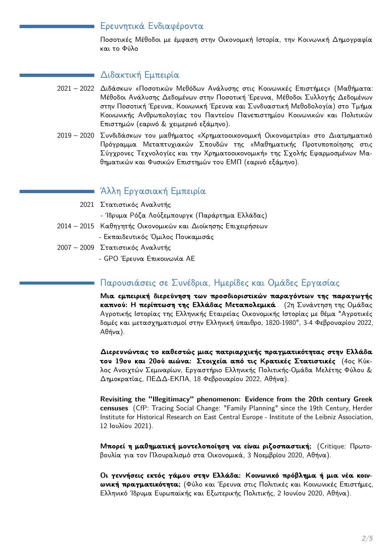### Ερευνητικά Ενδιαφέροντα

Ποσοτικές Μέθοδοι με έμφαση στην Οικονομική Ιστορία, την Κοινωνική Δημογραφία και το Φύλο

# Διδακτική Εμπειρία

- 2021 2022 Διδάσκων «Ποσοτικών Μεθόδων Ανάλυσης στις Κοινωνικές Επιστήμες» (Μαθήματα: Μέθοδοι Ανάλυσης Δεδομένων στην Ποσοτική Έρευνα, Μέθοδοι Συλλογής Δεδομένων στην Ποσοτική Έρευνα, Κοινωνική Έρευνα και Συνδυαστική Μεθοδολογία) στο Τμήμα Κοινωνικής Ανθρωπολογίας του Παντείου Πανεπιστημίου Κοινωνικών και Πολιτικών Επιστημών (εαρινό & χειμερινό εξάμηνο).
- 2019 2020 Συνδιδάσκων του μαθήματος «Χρηματοοικονομική Οικονομετρία» στο Διατμηματικό Πρόγραμμα Μεταπτυχιακών Σπουδών της «Μαθηματικής Προτυποποίησης στις Σύγχρονες Τεχνολογίες και την Χρηματοοικονομική» της Σχολής Εφαρμοσμένων Μαθηματικών και Φυσικών Επιστημών του ΕΜΠ (εαρινό εξάμηνο).

# - Άλλη Εργασιακή Εμπειρία

- 2021 Στατιστικός Αναλυτής
	- Ίδρυμα Ρόζα Λούξεμπουργκ (Παράρτημα Ελλάδας)
- 2014 2015 Καθηγητής Οικονομικών και Διοίκησης Επιχειρήσεων
	- Εκπαιδευτικός Όμιλος Πουκαμισάς
- 2007 2009 Στατιστικός Αναλυτής
	- GPO Έρευνα Επικοινωνία ΑΕ

# Παρουσιάσεις σε Συνέδρια, Ημερίδες και Ομάδες Εργασίας

Μια εμπειρική διερεύνηση των προσδιοριστικών παραγόντων της παραγωγής καπνού: Η περίπτωση της Ελλάδας Μεταπολεμικά (2η Συνάντηση της Ομάδας Αγροτικής Ιστορίας της Ελληνικής Εταιρείας Οικονομικής Ιστορίας με θέμα "Αγροτικές δομές και μετασχηματισμοί στην Ελληνική ύπαιθρο, 1820-1980", 3-4 Φεβρουαρίου 2022,  $A\theta \eta \nu \alpha$ ).

Διερευνώντας το καθεστώς μιας πατριαρχικής πραγματικότητας στην Ελλάδα του 19ου και 20ού αιώνα: Στοιχεία από τις Κρατικές Στατιστικές (4ος Κύκλος Ανοιχτών Σεμιναρίων, Εργαστήριο Ελληνικής Πολιτικής-Ομάδα Μελέτης Φύλου & Δημοκρατίας, ΠΕΔΔ-ΕΚΠΑ, 18 Φεβρουαρίου 2022, Αθήνα).

Revisiting the "Illegitimacy" phenomenon: Evidence from the 20th century Greek censuses (CfP: Tracing Social Change: "Family Planning" since the 19th Century, Herder Institute for Historical Research on East Central Europe - Institute of the Leibniz Association, 12 Ιουλίου 2021).

Μπορεί η μαθηματική μοντελοποίηση να είναι ριζοσπαστική; (Critique: Πρωτοβουλία για τον Πλουραλισμό στα Οικονομικά, 3 Νοεμβρίου 2020, Αθήνα).

Οι γεννήσεις εκτός γάμου στην Ελλάδα: Κοινωνικό πρόβλημα ή μια νέα κοινωνική πραγματικότητα; (Φύλο και Έρευνα στις Πολιτικές και Κοινωνικές Επιστήμες, Ελληνικό Ίδρυμα Ευρωπαϊκής και Εξωτερικής Πολιτικής, 2 Ιουνίου 2020, Αθήνα).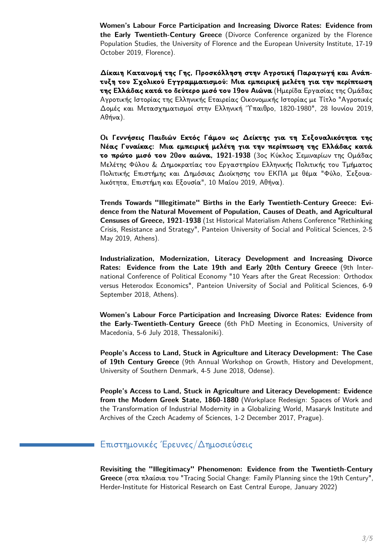Women's Labour Force Participation and Increasing Divorce Rates: Evidence from the Early Twentieth-Century Greece (Divorce Conference organized by the Florence Population Studies, the University of Florence and the European University Institute, 17-19 October 2019, Florence).

Δίκαιη Κατανομή της Γης, Προσκόλληση στην Αγροτική Παραγωγή και Ανάπτυξη του Σχολικού Εγγραμματισμού: Μια εμπειρική μελέτη για την περίπτωση της Ελλάδας κατά το δεύτερο μισό του 19ου Αιώνα (Ημερίδα Εργασίας της Ομάδας Αγροτικής Ιστορίας της Ελληνικής Εταιρείας Οικονομικής Ιστορίας με Τίτλο "Αγροτικές Δομές και Μετασχηματισμοί στην Ελληνική Τπαιθρο, 1820-1980", 28 Ιουνίου 2019, Αθήνα).

Οι Γεννήσεις Παιδιών Εκτός Γάμου ως Δείκτης για τη Σεξουαλικότητα της Νέας Γυναίκας: Μια εμπειρική μελέτη για την περίπτωση της Ελλάδας κατά το πρώτο μισό του 20ου αιώνα, 1921-1938 (3ος Κύκλος Σεμιναρίων της Ομάδας Μελέτης Φύλου & Δημοκρατίας του Εργαστηρίου Ελληνικής Πολιτικής του Τμήματος Πολιτικής Επιστήμης και Δημόσιας Διοίκησης του ΕΚΠΑ με θέμα "Φύλο, Σεξουαλικότητα, Επιστήμη και Εξουσία", 10 Μαΐου 2019, Αθήνα).

Trends Towards "Illegitimate" Births in the Early Twentieth-Century Greece: Evidence from the Natural Movement of Population, Causes of Death, and Agricultural Censuses of Greece, 1921-1938 (1st Historical Materialism Athens Conference "Rethinking Crisis, Resistance and Strategy", Panteion University of Social and Political Sciences, 2-5 May 2019, Athens).

Industrialization. Modernization. Literacy Development and Increasing Divorce Rates: Evidence from the Late 19th and Early 20th Century Greece (9th International Conference of Political Economy "10 Years after the Great Recession: Orthodox versus Heterodox Economics", Panteion University of Social and Political Sciences, 6-9 September 2018, Athens).

Women's Labour Force Participation and Increasing Divorce Rates: Evidence from the Early-Twentieth-Century Greece (6th PhD Meeting in Economics, University of Macedonia, 5-6 July 2018, Thessaloniki).

People's Access to Land, Stuck in Agriculture and Literacy Development: The Case of 19th Century Greece (9th Annual Workshop on Growth, History and Development, University of Southern Denmark, 4-5 June 2018, Odense).

People's Access to Land, Stuck in Agriculture and Literacy Development: Evidence from the Modern Greek State, 1860-1880 (Workplace Redesign: Spaces of Work and the Transformation of Industrial Modernity in a Globalizing World, Masaryk Institute and Archives of the Czech Academy of Sciences, 1-2 December 2017, Prague).

# Επιστημονικές Έρευνες Δημοσιεύσεις

Revisiting the "Illegitimacy" Phenomenon: Evidence from the Twentieth-Century Greece (στα πλαίσια του "Tracing Social Change: Family Planning since the 19th Century", Herder-Institute for Historical Research on East Central Europe, January 2022)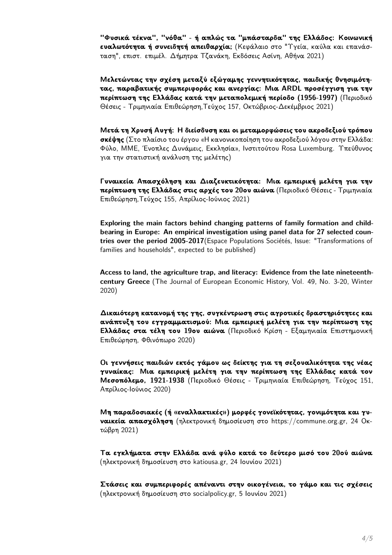"Φυσικά τέκνα", "νόθα" - ή απλώς τα "μπάσταρδα" της Ελλάδος: Κοινωνική ευαλωτότητα ή συνειδητή απειθαρχία; (Κεφάλαιο στο "Υγεία, καύλα και επανάσταση", επιστ. επιμέλ. Δήμητρα Τζανάκη, Εκδόσεις Ασίνη, Αθήνα 2021)

Μελετώντας την σχέση μεταξύ εξώγαμης γεννητικότητας, παιδικής θνησιμότητας, παραβατικής συμπεριφοράς και ανεργίας: Μια ARDL προσέγγιση για την περίπτωση της Ελλάδας κατά την μεταπολεμική περίοδο (1956-1997) (Περιοδικό Θέσεις - Τριμηνιαία Επιθεώρηση, Τεύχος 157, Οκτώβριος-Δεκέμβριος 2021)

Μετά τη Χρυσή Αυγή: Η διείσδυση και οι μεταμορφώσεις του ακροδεξιού τρόπου σκέψης (Στο πλαίσιο του έργου «Η κανονικοποίηση του ακροδεξιού λόγου στην Ελλάδα: Φύλο, ΜΜΕ, Ένοπλες Δυνάμεις, Εκκλησία», Ινστιτούτου Rosa Luxemburg. Υπεύθυνος για την στατιστική ανάλυση της μελέτης)

Γυναικεία Απασχόληση και Διαζευκτικότητα: Μια εμπειρική μελέτη για την περίπτωση της Ελλάδας στις αρχές του 20ου αιώνα (Περιοδικό Θέσεις - Τριμηνιαία Επιθεώρηση, Τεύχος 155, Απρίλιος-Ιούνιος 2021)

Exploring the main factors behind changing patterns of family formation and childbearing in Europe: An empirical investigation using panel data for 27 selected countries over the period 2005-2017 (Espace Populations Sociétés, Issue: "Transformations of families and households", expected to be published)

Access to land, the agriculture trap, and literacy: Evidence from the late nineteenthcentury Greece (The Journal of European Economic History, Vol. 49, No. 3-20, Winter  $2020)$ 

Δικαιότερη κατανομή της γης, συγκέντρωση στις αγροτικές δραστηριότητες και ανάπτυξη του εγγραμματισμού: Μια εμπειρική μελέτη για την περίπτωση της Ελλάδας στα τέλη του 19ου αιώνα (Περιοδικό Κρίση - Εξαμηνιαία Επιστημονική Επιθεώρηση, Φθινόπωρο 2020)

Οι γεννήσεις παιδιών εκτός γάμου ως δείκτης για τη σεξουαλικότητα της νέας γυναίκας: Μια εμπειρική μελέτη για την περίπτωση της Ελλάδας κατά τον **Μεσοπόλεμο, 1921-1938** (Περιοδικό Θέσεις - Τριμηνιαία Επιθεώρηση, Τεύχος 151, Απρίλιος-Ιούνιος 2020)

Μη παραδοσιακές (ή «εναλλακτικές») μορφές γονεϊκότητας, γονιμότητα και γυ**ναικεία απασχόληση** (ηλεκτρονική δημοσίευση στο https://commune.org.gr, 24 Okτώβρη 2021)

Τα εγκλήματα στην Ελλάδα ανά φύλο κατά το δεύτερο μισό του 20ού αιώνα (ηλεκτρονική δημοσίευση στο katiousa.gr, 24 Ιουνίου 2021)

Στάσεις και συμπεριφορές απέναντι στην οικογένεια, το γάμο και τις σχέσεις (ηλεκτρονική δημοσίευση στο socialpolicy.gr, 5 Ιουνίου 2021)